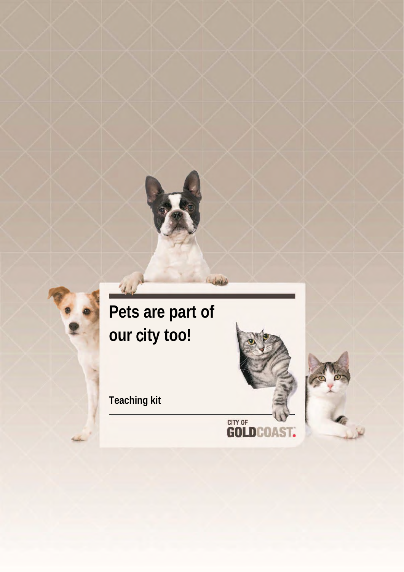

تعليلا

# **Pets are part of our** c**ity too!**

**Teaching kit**

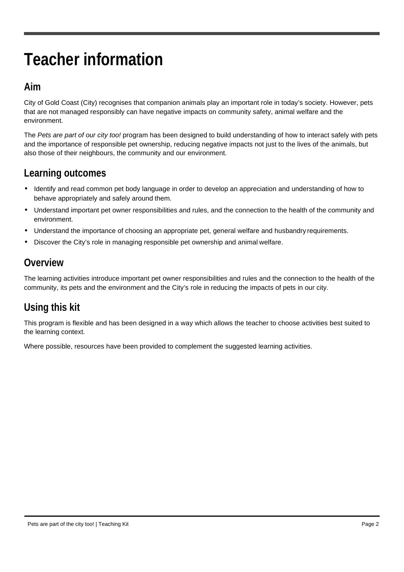# **Teacher information**

### **Aim**

City of Gold Coast (City) recognises that companion animals play an important role in today's society. However, pets that are not managed responsibly can have negative impacts on community safety, animal welfare and the environment.

The *Pets are part of our city too!* program has been designed to build understanding of how to interact safely with pets and the importance of responsible pet ownership, reducing negative impacts not just to the lives of the animals, but also those of their neighbours, the community and our environment.

## **Learning outcomes**

- Identify and read common pet body language in order to develop an appreciation and understanding of how to behave appropriately and safely around them.
- Understand important pet owner responsibilities and rules, and the connection to the health of the community and environment.
- Understand the importance of choosing an appropriate pet, general welfare and husbandry requirements.
- Discover the City's role in managing responsible pet ownership and animal welfare.

## **Overview**

The learning activities introduce important pet owner responsibilities and rules and the connection to the health of the community, its pets and the environment and the City's role in reducing the impacts of pets in our city.

## **Using this kit**

This program is flexible and has been designed in a way which allows the teacher to choose activities best suited to the learning context.

Where possible, resources have been provided to complement the suggested learning activities.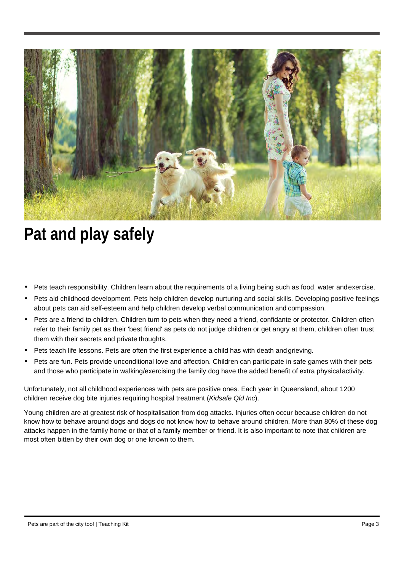

## **Pat and play safely**

- Pets teach responsibility. Children learn about the requirements of a living being such as food, water andexercise.
- Pets aid childhood development. Pets help children develop nurturing and social skills. Developing positive feelings about pets can aid self-esteem and help children develop verbal communication and compassion.
- Pets are a friend to children. Children turn to pets when they need a friend, confidante or protector. Children often refer to their family pet as their 'best friend' as pets do not judge children or get angry at them, children often trust them with their secrets and private thoughts.
- Pets teach life lessons. Pets are often the first experience a child has with death and grieving.
- Pets are fun. Pets provide unconditional love and affection. Children can participate in safe games with their pets and those who participate in walking/exercising the family dog have the added benefit of extra physicalactivity.

Unfortunately, not all childhood experiences with pets are positive ones. Each year in Queensland, about 1200 children receive dog bite injuries requiring hospital treatment (*Kidsafe Qld Inc*).

Young children are at greatest risk of hospitalisation from dog attacks. Injuries often occur because children do not know how to behave around dogs and dogs do not know how to behave around children. More than 80% of these dog attacks happen in the family home or that of a family member or friend. It is also important to note that children are most often bitten by their own dog or one known to them.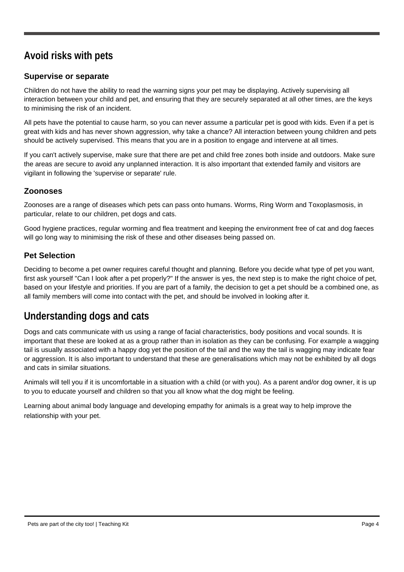## **Avoid risks with pets**

#### **Supervise or separate**

Children do not have the ability to read the warning signs your pet may be displaying. Actively supervising all interaction between your child and pet, and ensuring that they are securely separated at all other times, are the keys to minimising the risk of an incident.

All pets have the potential to cause harm, so you can never assume a particular pet is good with kids. Even if a pet is great with kids and has never shown aggression, why take a chance? All interaction between young children and pets should be actively supervised. This means that you are in a position to engage and intervene at all times.

If you can't actively supervise, make sure that there are pet and child free zones both inside and outdoors. Make sure the areas are secure to avoid any unplanned interaction. It is also important that extended family and visitors are vigilant in following the 'supervise or separate' rule.

#### **Zoonoses**

Zoonoses are a range of diseases which pets can pass onto humans. Worms, Ring Worm and Toxoplasmosis, in particular, relate to our children, pet dogs and cats.

Good hygiene practices, regular worming and flea treatment and keeping the environment free of cat and dog faeces will go long way to minimising the risk of these and other diseases being passed on.

#### **Pet Selection**

Deciding to become a pet owner requires careful thought and planning. Before you decide what type of pet you want, first ask yourself "Can I look after a pet properly?" If the answer is yes, the next step is to make the right choice of pet, based on your lifestyle and priorities. If you are part of a family, the decision to get a pet should be a combined one, as all family members will come into contact with the pet, and should be involved in looking after it.

## **Understanding dogs and cats**

Dogs and cats communicate with us using a range of facial characteristics, body positions and vocal sounds. It is important that these are looked at as a group rather than in isolation as they can be confusing. For example a wagging tail is usually associated with a happy dog yet the position of the tail and the way the tail is wagging may indicate fear or aggression. It is also important to understand that these are generalisations which may not be exhibited by all dogs and cats in similar situations.

Animals will tell you if it is uncomfortable in a situation with a child (or with you). As a parent and/or dog owner, it is up to you to educate yourself and children so that you all know what the dog might be feeling.

Learning about animal body language and developing empathy for animals is a great way to help improve the relationship with your pet.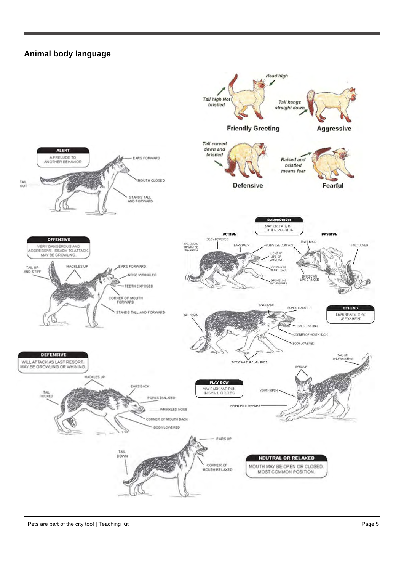#### **Animal body language**

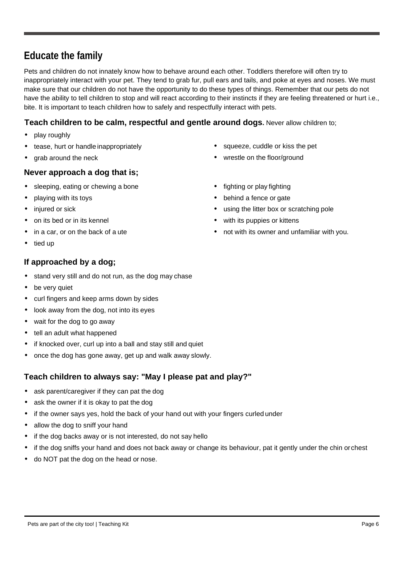### **Educate the family**

Pets and children do not innately know how to behave around each other. Toddlers therefore will often try to inappropriately interact with your pet. They tend to grab fur, pull ears and tails, and poke at eyes and noses. We must make sure that our children do not have the opportunity to do these types of things. Remember that our pets do not have the ability to tell children to stop and will react according to their instincts if they are feeling threatened or hurt i.e., bite. It is important to teach children how to safely and respectfully interact with pets.

#### **Teach children to be calm, respectful and gentle around dogs.** Never allow children to;

- play roughly
- tease, hurt or handle inappropriately
- grab around the neck

#### **Never approach a dog that is;**

- sleeping, eating or chewing a bone
- playing with its toys
- injured or sick
- on its bed or in its kennel
- in a car, or on the back of a ute
- tied up

#### **If approached by a dog;**

- stand very still and do not run, as the dog may chase
- be very quiet
- curl fingers and keep arms down by sides
- look away from the dog, not into its eyes
- wait for the dog to go away
- tell an adult what happened
- if knocked over, curl up into a ball and stay still and quiet
- once the dog has gone away, get up and walk away slowly.

#### **Teach children to always say: "May I please pat and play?"**

- ask parent/caregiver if they can pat the dog
- ask the owner if it is okay to pat the dog
- if the owner says yes, hold the back of your hand out with your fingers curled under
- allow the dog to sniff your hand
- if the dog backs away or is not interested, do not say hello
- if the dog sniffs your hand and does not back away or change its behaviour, pat it gently under the chin orchest
- do NOT pat the dog on the head or nose.
- squeeze, cuddle or kiss the pet
- wrestle on the floor/ground
- fighting or play fighting
- behind a fence or gate
- using the litter box or scratching pole
- with its puppies or kittens
- not with its owner and unfamiliar with you.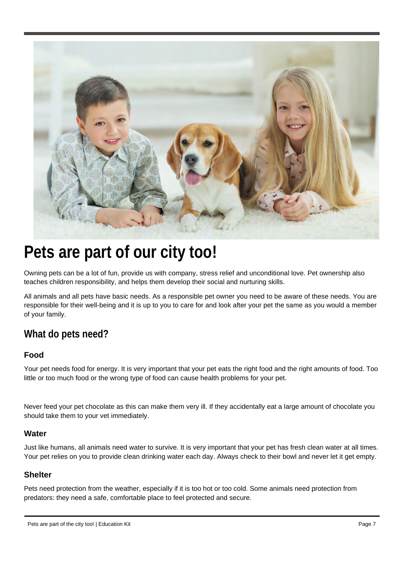

## **Pets are part of our city too!**

Owning pets can be a lot of fun, provide us with company, stress relief and unconditional love. Pet ownership also teaches children responsibility, and helps them develop their social and nurturing skills.

All animals and all pets have basic needs. As a responsible pet owner you need to be aware of these needs. You are responsible for their well-being and it is up to you to care for and look after your pet the same as you would a member of your family.

### **What do pets need?**

#### **Food**

Your pet needs food for energy. It is very important that your pet eats the right food and the right amounts of food. Too little or too much food or the wrong type of food can cause health problems for your pet.

Never feed your pet chocolate as this can make them very ill. If they accidentally eat a large amount of chocolate you should take them to your vet immediately.

#### **Water**

Just like humans, all animals need water to survive. It is very important that your pet has fresh clean water at all times. Your pet relies on you to provide clean drinking water each day. Always check to their bowl and never let it get empty.

#### **Shelter**

Pets need protection from the weather, especially if it is too hot or too cold. Some animals need protection from predators: they need a safe, comfortable place to feel protected and secure.

Pets are part of the city too! | Education Kit Page 7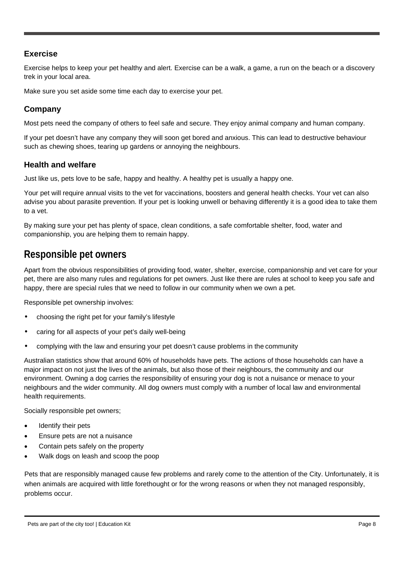#### **Exercise**

Exercise helps to keep your pet healthy and alert. Exercise can be a walk, a game, a run on the beach or a discovery trek in your local area.

Make sure you set aside some time each day to exercise your pet.

#### **Company**

Most pets need the company of others to feel safe and secure. They enjoy animal company and human company.

If your pet doesn't have any company they will soon get bored and anxious. This can lead to destructive behaviour such as chewing shoes, tearing up gardens or annoying the neighbours.

#### **Health and welfare**

Just like us, pets love to be safe, happy and healthy. A healthy pet is usually a happy one.

Your pet will require annual visits to the vet for vaccinations, boosters and general health checks. Your vet can also advise you about parasite prevention. If your pet is looking unwell or behaving differently it is a good idea to take them to a vet.

By making sure your pet has plenty of space, clean conditions, a safe comfortable shelter, food, water and companionship, you are helping them to remain happy.

### **Responsible pet owners**

Apart from the obvious responsibilities of providing food, water, shelter, exercise, companionship and vet care for your pet, there are also many rules and regulations for pet owners. Just like there are rules at school to keep you safe and happy, there are special rules that we need to follow in our community when we own a pet.

Responsible pet ownership involves:

- choosing the right pet for your family's lifestyle
- caring for all aspects of your pet's daily well-being
- complying with the law and ensuring your pet doesn't cause problems in the community

Australian statistics show that around 60% of households have pets. The actions of those households can have a major impact on not just the lives of the animals, but also those of their neighbours, the community and our environment. Owning a dog carries the responsibility of ensuring your dog is not a nuisance or menace to your neighbours and the wider community. All dog owners must comply with a number of local law and environmental health requirements.

Socially responsible pet owners;

- Identify their pets
- Ensure pets are not a nuisance
- Contain pets safely on the property
- Walk dogs on leash and scoop the poop

Pets that are responsibly managed cause few problems and rarely come to the attention of the City. Unfortunately, it is when animals are acquired with little forethought or for the wrong reasons or when they not managed responsibly, problems occur.

Pets are part of the city too! | Education Kit Page 8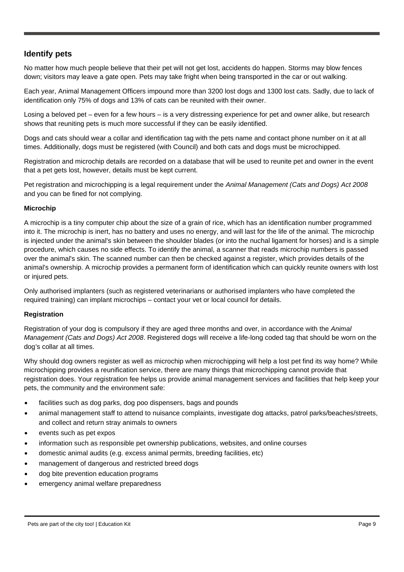#### **Identify pets**

No matter how much people believe that their pet will not get lost, accidents do happen. Storms may blow fences down; visitors may leave a gate open. Pets may take fright when being transported in the car or out walking.

Each year, Animal Management Officers impound more than 3200 lost dogs and 1300 lost cats. Sadly, due to lack of identification only 75% of dogs and 13% of cats can be reunited with their owner.

Losing a beloved pet – even for a few hours – is a very distressing experience for pet and owner alike, but research shows that reuniting pets is much more successful if they can be easily identified.

Dogs and cats should wear a collar and identification tag with the pets name and contact phone number on it at all times. Additionally, dogs must be registered (with Council) and both cats and dogs must be microchipped.

Registration and microchip details are recorded on a database that will be used to reunite pet and owner in the event that a pet gets lost, however, details must be kept current.

Pet registration and microchipping is a legal requirement under the *Animal Management (Cats and Dogs) Act 2008* and you can be fined for not complying.

#### **Microchip**

A microchip is a tiny computer chip about the size of a grain of rice, which has an identification number programmed into it. The microchip is inert, has no battery and uses no energy, and will last for the life of the animal. The microchip is injected under the animal's skin between the shoulder blades (or into the nuchal ligament for horses) and is a simple procedure, which causes no side effects. To identify the animal, a scanner that reads microchip numbers is passed over the animal's skin. The scanned number can then be checked against a register, which provides details of the animal's ownership. A microchip provides a permanent form of identification which can quickly reunite owners with lost or injured pets.

Only authorised implanters (such as registered veterinarians or authorised implanters who have completed the required training) can implant microchips – contact your vet or local council for details.

#### **Registration**

Registration of your dog is compulsory if they are aged three months and over, in accordance with the *Animal Management (Cats and Dogs) Act 2008*. Registered dogs will receive a life-long coded tag that should be worn on the dog's collar at all times.

Why should dog owners register as well as microchip when microchipping will help a lost pet find its way home? While microchipping provides a reunification service, there are many things that microchipping cannot provide that registration does. Your registration fee helps us provide animal management services and facilities that help keep your pets, the community and the environment safe:

- facilities such as dog parks, dog poo dispensers, bags and pounds
- animal management staff to attend to nuisance complaints, investigate dog attacks, patrol parks/beaches/streets, and collect and return stray animals to owners
- events such as pet expos
- information such as responsible pet ownership publications, websites, and online courses
- domestic animal audits (e.g. excess animal permits, breeding facilities, etc)
- management of dangerous and restricted breed dogs
- dog bite prevention education programs
- emergency animal welfare preparedness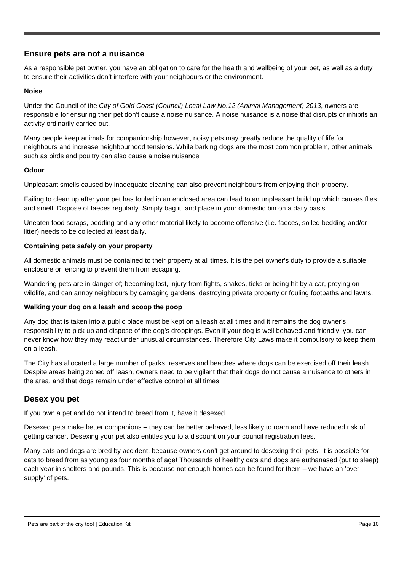#### **Ensure pets are not a nuisance**

As a responsible pet owner, you have an obligation to care for the health and wellbeing of your pet, as well as a duty to ensure their activities don't interfere with your neighbours or the environment.

#### **Noise**

Under the Council of the *City of Gold Coast (Council) Local Law No.12 (Animal Management) 2013*, owners are responsible for ensuring their pet don't cause a noise nuisance. A noise nuisance is a noise that disrupts or inhibits an activity ordinarily carried out.

Many people keep animals for companionship however, noisy pets may greatly reduce the quality of life for neighbours and increase neighbourhood tensions. While barking dogs are the most common problem, other animals such as birds and poultry can also cause a noise nuisance

#### **Odour**

Unpleasant smells caused by inadequate cleaning can also prevent neighbours from enjoying their property.

Failing to clean up after your pet has fouled in an enclosed area can lead to an unpleasant build up which causes flies and smell. Dispose of faeces regularly. Simply bag it, and place in your domestic bin on a daily basis.

Uneaten food scraps, bedding and any other material likely to become offensive (i.e. faeces, soiled bedding and/or litter) needs to be collected at least daily.

#### **Containing pets safely on your property**

All domestic animals must be contained to their property at all times. It is the pet owner's duty to provide a suitable enclosure or fencing to prevent them from escaping.

Wandering pets are in danger of; becoming lost, injury from fights, snakes, ticks or being hit by a car, preying on wildlife, and can annoy neighbours by damaging gardens, destroying private property or fouling footpaths and lawns.

#### **Walking your dog on a leash and scoop the poop**

Any dog that is taken into a public place must be kept on a leash at all times and it remains the dog owner's responsibility to pick up and dispose of the dog's droppings. Even if your dog is well behaved and friendly, you can never know how they may react under unusual circumstances. Therefore City Laws make it compulsory to keep them on a leash.

The City has allocated a large number of parks, reserves and beaches where dogs can be exercised off their leash. Despite areas being zoned off leash, owners need to be vigilant that their dogs do not cause a nuisance to others in the area, and that dogs remain under effective control at all times.

#### **Desex you pet**

If you own a pet and do not intend to breed from it, have it desexed.

Desexed pets make better companions – they can be better behaved, less likely to roam and have reduced risk of getting cancer. Desexing your pet also entitles you to a discount on your council registration fees.

Many cats and dogs are bred by accident, because owners don't get around to desexing their pets. It is possible for cats to breed from as young as four months of age! Thousands of healthy cats and dogs are euthanased (put to sleep) each year in shelters and pounds. This is because not enough homes can be found for them – we have an 'oversupply' of pets.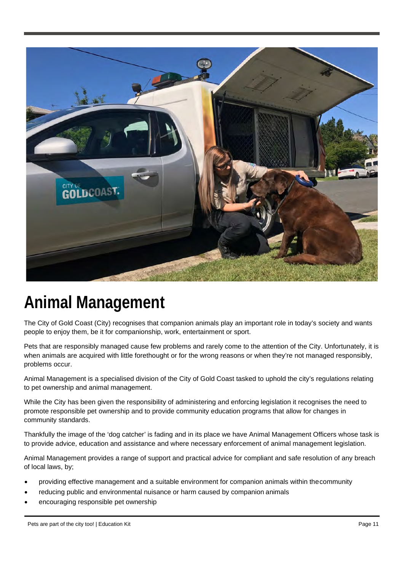

## **Animal Management**

The City of Gold Coast (City) recognises that companion animals play an important role in today's society and wants people to enjoy them, be it for companionship, work, entertainment or sport.

Pets that are responsibly managed cause few problems and rarely come to the attention of the City. Unfortunately, it is when animals are acquired with little forethought or for the wrong reasons or when they're not managed responsibly, problems occur.

Animal Management is a specialised division of the City of Gold Coast tasked to uphold the city's regulations relating to pet ownership and animal management.

While the City has been given the responsibility of administering and enforcing legislation it recognises the need to promote responsible pet ownership and to provide community education programs that allow for changes in community standards.

Thankfully the image of the 'dog catcher' is fading and in its place we have Animal Management Officers whose task is to provide advice, education and assistance and where necessary enforcement of animal management legislation.

Animal Management provides a range of support and practical advice for compliant and safe resolution of any breach of local laws, by;

- providing effective management and a suitable environment for companion animals within thecommunity
- reducing public and environmental nuisance or harm caused by companion animals
- encouraging responsible pet ownership

Pets are part of the city too! | Education Kit Page 11 | Page 11 | Page 11 | Page 11 | Page 11 | Page 11 | Page 11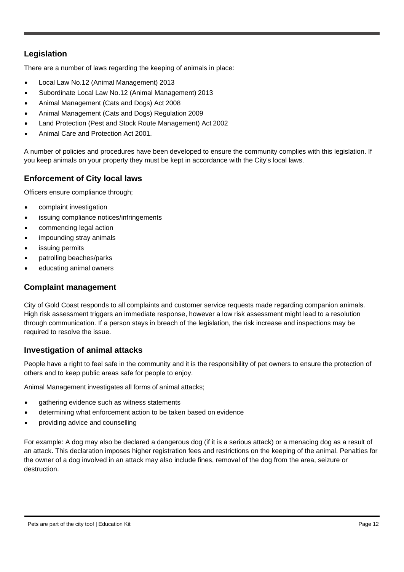#### **Legislation**

There are a number of laws regarding the keeping of animals in place:

- Local Law No.12 (Animal Management) 2013
- Subordinate Local Law No.12 (Animal Management) 2013
- Animal Management (Cats and Dogs) Act 2008
- Animal Management (Cats and Dogs) Regulation 2009
- Land Protection (Pest and Stock Route Management) Act 2002
- Animal Care and Protection Act 2001.

A number of policies and procedures have been developed to ensure the community complies with this legislation. If you keep animals on your property they must be kept in accordance with the City's local laws.

#### **Enforcement of City local laws**

Officers ensure compliance through;

- complaint investigation
- issuing compliance notices/infringements
- commencing legal action
- impounding stray animals
- issuing permits
- patrolling beaches/parks
- educating animal owners

#### **Complaint management**

City of Gold Coast responds to all complaints and customer service requests made regarding companion animals. High risk assessment triggers an immediate response, however a low risk assessment might lead to a resolution through communication. If a person stays in breach of the legislation, the risk increase and inspections may be required to resolve the issue.

#### **Investigation of animal attacks**

People have a right to feel safe in the community and it is the responsibility of pet owners to ensure the protection of others and to keep public areas safe for people to enjoy.

Animal Management investigates all forms of animal attacks;

- gathering evidence such as witness statements
- determining what enforcement action to be taken based on evidence
- providing advice and counselling

For example: A dog may also be declared a dangerous dog (if it is a serious attack) or a menacing dog as a result of an attack. This declaration imposes higher registration fees and restrictions on the keeping of the animal. Penalties for the owner of a dog involved in an attack may also include fines, removal of the dog from the area, seizure or destruction.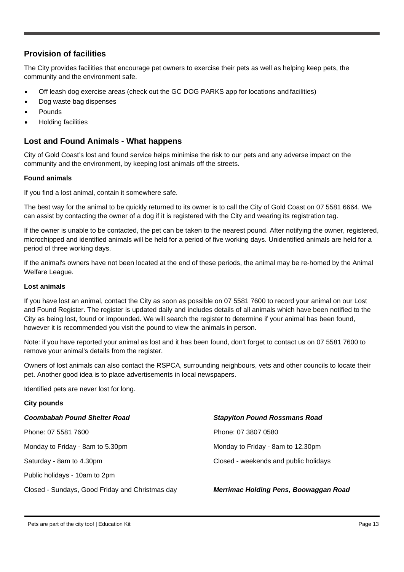#### **Provision of facilities**

The City provides facilities that encourage pet owners to exercise their pets as well as helping keep pets, the community and the environment safe.

- Off leash dog exercise areas (check out the GC DOG PARKS app for locations and facilities)
- Dog waste bag dispenses
- **Pounds**
- Holding facilities

#### **Lost and Found Animals - What happens**

City of Gold Coast's lost and found service helps minimise the risk to our pets and any adverse impact on the community and the environment, by keeping lost animals off the streets.

#### **Found animals**

If you find a lost animal, contain it somewhere safe.

The best way for the animal to be quickly returned to its owner is to call the City of Gold Coast on 07 5581 6664. We can assist by contacting the owner of a dog if it is registered with the City and wearing its registration tag.

If the owner is unable to be contacted, the pet can be taken to the nearest pound. After notifying the owner, registered, microchipped and identified animals will be held for a period of five working days. Unidentified animals are held for a period of three working days.

If the animal's owners have not been located at the end of these periods, the animal may be re-homed by the Animal Welfare League.

#### **Lost animals**

If you have lost an animal, contact the City as soon as possible on 07 5581 7600 to record your animal on our Lost and Found Register. The register is updated daily and includes details of all animals which have been notified to the City as being lost, found or impounded. We will search the register to determine if your animal has been found, however it is recommended you visit the pound to view the animals in person.

Note: if you have reported your animal as lost and it has been found, don't forget to contact us on 07 5581 7600 to remove your animal's details from the register.

Owners of lost animals can also contact the RSPCA, surrounding neighbours, vets and other councils to locate their pet. Another good idea is to place advertisements in local newspapers.

Identified pets are never lost for long.

#### **City pounds**

| Coombabah Pound Shelter Road                    | <b>Stapylton Pound Rossmans Road</b>  |
|-------------------------------------------------|---------------------------------------|
| Phone: 07 5581 7600                             | Phone: 07 3807 0580                   |
| Monday to Friday - 8am to 5.30pm                | Monday to Friday - 8am to 12.30pm     |
| Saturday - 8am to 4.30pm                        | Closed - weekends and public holidays |
| Public holidays - 10am to 2pm                   |                                       |
| Closed - Sundays, Good Friday and Christmas day | Merrimac Holding Pens, Boowaggan Road |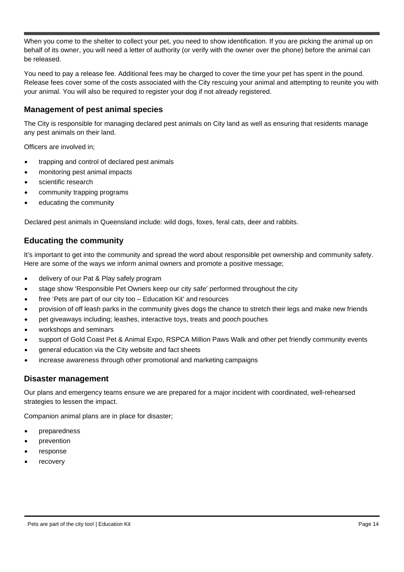When you come to the shelter to collect your pet, you need to show identification. If you are picking the animal up on behalf of its owner, you will need a letter of authority (or verify with the owner over the phone) before the animal can be released.

You need to pay a release fee. Additional fees may be charged to cover the time your pet has spent in the pound. Release fees cover some of the costs associated with the City rescuing your animal and attempting to reunite you with your animal. You will also be required to register your dog if not already registered.

#### **Management of pest animal species**

The City is responsible for managing declared pest animals on City land as well as ensuring that residents manage any pest animals on their land.

Officers are involved in;

- trapping and control of declared pest animals
- monitoring pest animal impacts
- scientific research
- community trapping programs
- educating the community

Declared pest animals in Queensland include: wild dogs, foxes, feral cats, deer and rabbits.

#### **Educating the community**

It's important to get into the community and spread the word about responsible pet ownership and community safety. Here are some of the ways we inform animal owners and promote a positive message;

- delivery of our Pat & Play safely program
- stage show 'Responsible Pet Owners keep our city safe' performed throughout the city
- free 'Pets are part of our city too Education Kit' and resources
- provision of off leash parks in the community gives dogs the chance to stretch their legs and make new friends
- pet giveaways including; leashes, interactive toys, treats and pooch pouches
- workshops and seminars
- support of Gold Coast Pet & Animal Expo, RSPCA Million Paws Walk and other pet friendly community events
- general education via the City website and fact sheets
- increase awareness through other promotional and marketing campaigns

#### **Disaster management**

Our plans and emergency teams ensure we are prepared for a major incident with coordinated, well-rehearsed strategies to lessen the impact.

Companion animal plans are in place for disaster;

- preparedness
- prevention
- response
- **recovery**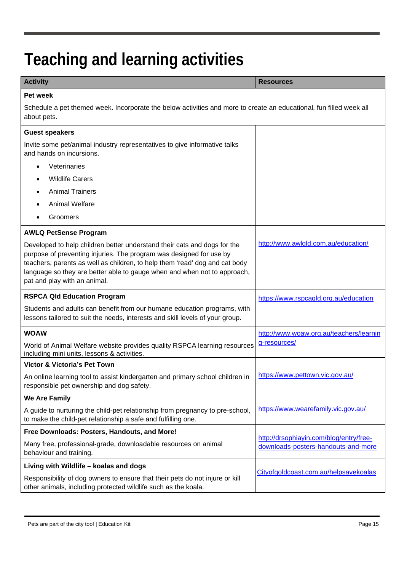## **Teaching and learning activities**

#### **Activity Resources Pet week** Schedule a pet themed week. Incorporate the below activities and more to create an educational, fun filled week all about pets. **Guest speakers** Invite some pet/animal industry representatives to give informative talks and hands on incursions. **Veterinaries** • Wildlife Carers • Animal Trainers • Animal Welfare • Groomers **AWLQ PetSense Program** Developed to help children better understand their cats and dogs for the purpose of preventing injuries. The program was designed for use by teachers, parents as well as children, to help them 'read' dog and cat body language so they are better able to gauge when and when not to approach, pat and play with an animal. <http://www.awlqld.com.au/education/> **RSPCA Qld Education Program** Students and adults can benefit from our humane education programs, with lessons tailored to suit the needs, interests and skill levels of your group. <https://www.rspcaqld.org.au/education> **WOAW** World of Animal Welfare website provides quality RSPCA learning resources including mini units, lessons & activities. <http://www.woaw.org.au/teachers/learnin> g-resources/ **Victor & Victoria's Pet Town** An online learning tool to assist kindergarten and primary school children in responsible pet ownership and dog safety. <https://www.pettown.vic.gov.au/> **We Are Family** A guide to nurturing the child-pet relationship from pregnancy to pre-school, to make the child-pet relationship a safe and fulfilling one. <https://www.wearefamily.vic.gov.au/> **Free Downloads: Posters, Handouts, and More!** Many free, professional-grade, downloadable resources on animal behaviour and training. [http://drsophiayin.com/blog/entry/free](https://cattledogpublishing.com/blog/free-downloads-posters-handouts-and-more/)downloads-posters-handouts-and-more **Living with Wildlife – koalas and dogs** Responsibility of dog owners to ensure that their pets do not injure or kill other animals, including protected wildlife such as the koala. [Cityofgoldcoast.com.au/helpsavekoalas](https://www.goldcoast.qld.gov.au/Council-region/About-our-city/Environment-sustainability/Protecting-our-environment/Species-conservation/Koala-conservation/Help-save-koalas)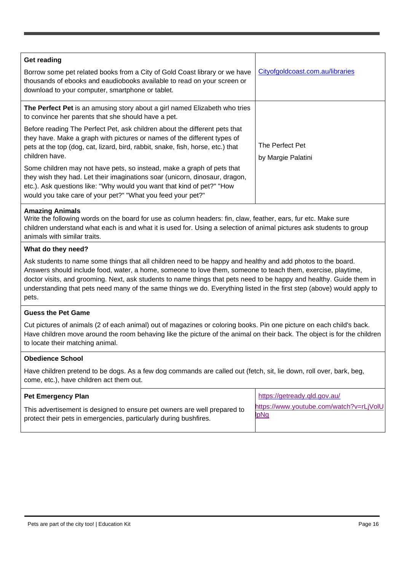| <b>Get reading</b>                                                                                                                                                                                                                                                                             |                                       |
|------------------------------------------------------------------------------------------------------------------------------------------------------------------------------------------------------------------------------------------------------------------------------------------------|---------------------------------------|
| Borrow some pet related books from a City of Gold Coast library or we have<br>thousands of ebooks and eaudiobooks available to read on your screen or<br>download to your computer, smartphone or tablet.                                                                                      | Cityofgoldcoast.com.au/libraries      |
| The Perfect Pet is an amusing story about a girl named Elizabeth who tries<br>to convince her parents that she should have a pet.                                                                                                                                                              |                                       |
| Before reading The Perfect Pet, ask children about the different pets that<br>they have. Make a graph with pictures or names of the different types of<br>pets at the top (dog, cat, lizard, bird, rabbit, snake, fish, horse, etc.) that<br>children have.                                    | The Perfect Pet<br>by Margie Palatini |
| Some children may not have pets, so instead, make a graph of pets that<br>they wish they had. Let their imaginations soar (unicorn, dinosaur, dragon,<br>etc.). Ask questions like: "Why would you want that kind of pet?" "How<br>would you take care of your pet?" "What you feed your pet?" |                                       |
|                                                                                                                                                                                                                                                                                                |                                       |

#### **Amazing Animals**

Write the following words on the board for use as column headers: fin, claw, feather, ears, fur etc. Make sure children understand what each is and what it is used for. Using a selection of animal pictures ask students to group animals with similar traits.

#### **What do they need?**

Ask students to name some things that all children need to be happy and healthy and add photos to the board. Answers should include food, water, a home, someone to love them, someone to teach them, exercise, playtime, doctor visits, and grooming. Next, ask students to name things that pets need to be happy and healthy. Guide them in understanding that pets need many of the same things we do. Everything listed in the first step (above) would apply to pets.

#### **Guess the Pet Game**

Cut pictures of animals (2 of each animal) out of magazines or coloring books. Pin one picture on each child's back. Have children move around the room behaving like the picture of the animal on their back. The object is for the children to locate their matching animal.

#### **Obedience School**

Have children pretend to be dogs. As a few dog commands are called out (fetch, sit, lie down, roll over, bark, beg, come, etc.), have children act them out.

| <b>Pet Emergency Plan</b>                                                | https://getready.qld.gov.au/            |
|--------------------------------------------------------------------------|-----------------------------------------|
| This advertisement is designed to ensure pet owners are well prepared to | https://www.youtube.com/watch?v=rLjVolU |
| protect their pets in emergencies, particularly during bushfires.        | <b>lpNg</b>                             |